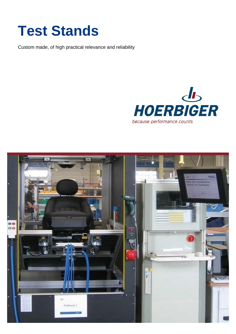# **Test Stands**

Custom made, of high practical relevance and reliability



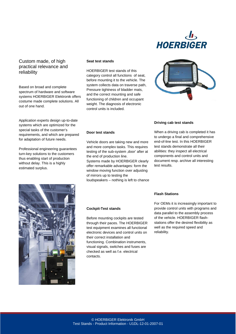

### Custom made, of high practical relevance and reliability

Based on broad and complete spectrum of hardware and software systems HOERBIGER Elektronik offers costume made complete solutions. All out of one hand.

Application experts design up-to-date systems which are optimized for the special tasks of the customer's requirements, and which are prepared for adaptation of future needs.

Professional engineering guarantees turn-key solutions to the customers thus enabling start of production without delay. This is a highly estimated surplus.

#### **Seat test stands**

HOERBIGER test stands of this category control all functions of seat, before mounting it to the vehicle. The system collects data on traverse path, Pressure tightness of bladder mats, and the correct mounting and safe functioning of children and occupant weight. The diagnosis of electronic control units is included.

### **Door test stands**

Vehicle doors are taking new and more and more complex tasks. This requires testing of the sub-system ,door' after at the end of production line.

Systems made by HOERBIGER clearly offer remarkable advantages: form the window moving function over adjusting of mirrors up to testing the

loudspeakers – nothing is left to chance



#### **Driving cab test stands**

**Flash Stations**

When a driving cab is completed it has to undergo a final and comprehensive end-of-line test. In this HOERBIGER test stands demonstrate all their abilities: they inspect all electrical components and control units and document resp. archive all interesting test results.



#### **Cockpit-Test stands**

Before mounting cockpits are tested through their paces. The HOERBIGER test equipment examines all functional electronic devices and control units on their correct installation and functioning. Combination instruments, visual signals, switches and fuses are checked as well as f.e. electrical contacts.

For OEMs it is increasingly important to provide control units with programs and data parallel to the assembly process of the vehicle. HOERBIGER flashstations offer the desired flexibility as well as the required speed and reliability.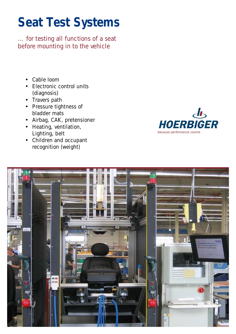## **Seat Test Systems**

*… for testing all functions of a seat before mounting in to the vehicle* 

- Cable loom
- Electronic control units (diagnosis)
- Travers path
- Pressure tightness of bladder mats
- Airbag, CAK, pretensioner
- Heating, ventilation, Lighting, belt
- Children and occupant recognition (weight)



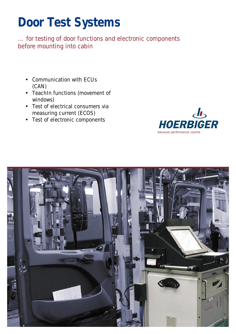### **Door Test Systems**

*… for testing of door functions and electronic components before mounting into cabin* 

- Communication with ECUs (CAN)
- TeachIn functions (movement of windows)
- Test of electrical consumers via measuring current (ECOS)
- Test of electronic components



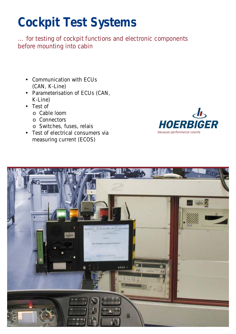# **Cockpit Test Systems**

*… for testing of cockpit functions and electronic components before mounting into cabin* 

- Communication with ECUs (CAN, K-Line)
- Parameterisation of ECUs (CAN, K-Line)
- Test of
	- o Cable loom
	- o Connectors
	- o Switches, fuses, relais
- Test of electrical consumers via measuring current (ECOS)



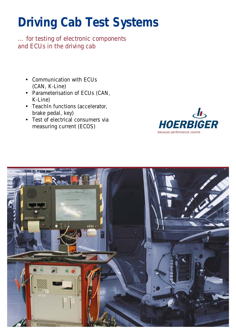# **Driving Cab Test Systems**

*… for testing of electronic components and ECUs in the driving cab* 

- Communication with ECUs (CAN, K-Line)
- Parameterisation of ECUs (CAN, K-Line)
- TeachIn functions (accelerator, brake pedal, key)
- Test of electrical consumers via measuring current (ECOS)



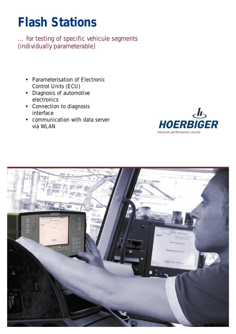### **Flash Stations**

*… for testing of specific vehicule segments (individually parameterable)* 

- Parameterisation of Electronic Control Units (ECU)
- Diagnosis of automotive electronics
- Connection to diagnosis interface
- communication with data server via WLAN